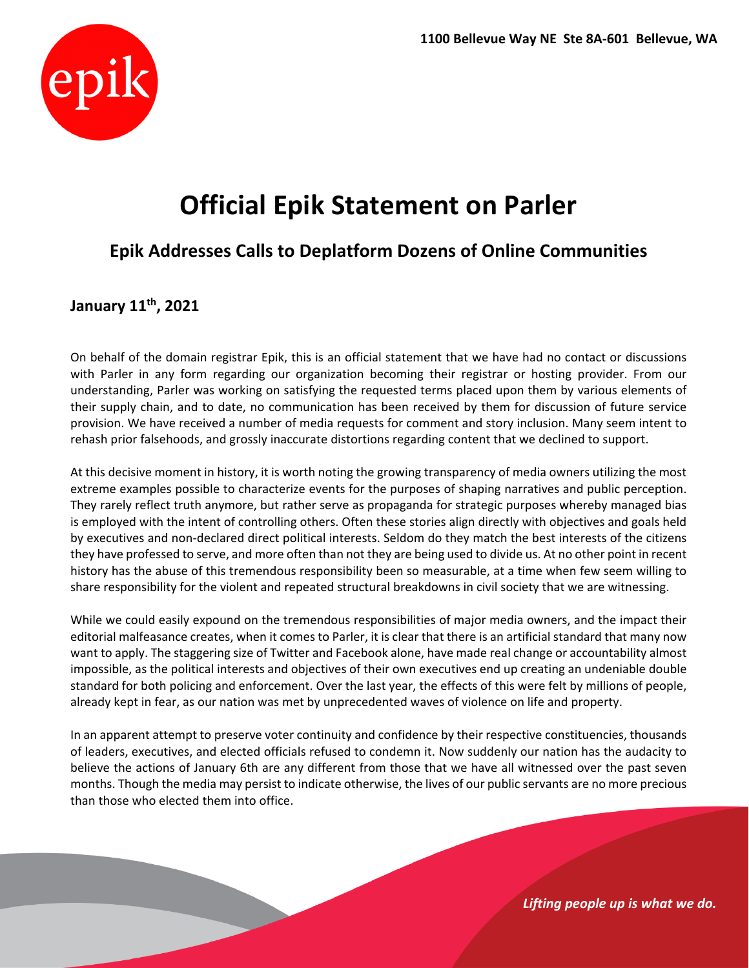

# **Official Epik Statement on Parler**

### **Epik Addresses Calls to Deplatform Dozens of Online Communities**

## **January 11th, 2021**

On behalf of the domain registrar Epik, this is an official statement that we have had no contact or discussions with Parler in any form regarding our organization becoming their registrar or hosting provider. From our understanding, Parler was working on satisfying the requested terms placed upon them by various elements of their supply chain, and to date, no communication has been received by them for discussion of future service provision. We have received a number of media requests for comment and story inclusion. Many seem intent to rehash prior falsehoods, and grossly inaccurate distortions regarding content that we declined to support.

At this decisive moment in history, it is worth noting the growing transparency of media owners utilizing the most extreme examples possible to characterize events for the purposes of shaping narratives and public perception. They rarely reflect truth anymore, but rather serve as propaganda for strategic purposes whereby managed bias is employed with the intent of controlling others. Often these stories align directly with objectives and goals held by executives and non‐declared direct political interests. Seldom do they match the best interests of the citizens they have professed to serve, and more often than not they are being used to divide us. At no other point in recent history has the abuse of this tremendous responsibility been so measurable, at a time when few seem willing to share responsibility for the violent and repeated structural breakdowns in civil society that we are witnessing.

While we could easily expound on the tremendous responsibilities of major media owners, and the impact their editorial malfeasance creates, when it comes to Parler, it is clear that there is an artificial standard that many now want to apply. The staggering size of Twitter and Facebook alone, have made real change or accountability almost impossible, as the political interests and objectives of their own executives end up creating an undeniable double standard for both policing and enforcement. Over the last year, the effects of this were felt by millions of people, already kept in fear, as our nation was met by unprecedented waves of violence on life and property.

In an apparent attempt to preserve voter continuity and confidence by their respective constituencies, thousands of leaders, executives, and elected officials refused to condemn it. Now suddenly our nation has the audacity to believe the actions of January 6th are any different from those that we have all witnessed over the past seven months. Though the media may persist to indicate otherwise, the lives of our public servants are no more precious than those who elected them into office.

*Lifting people up is what we do.*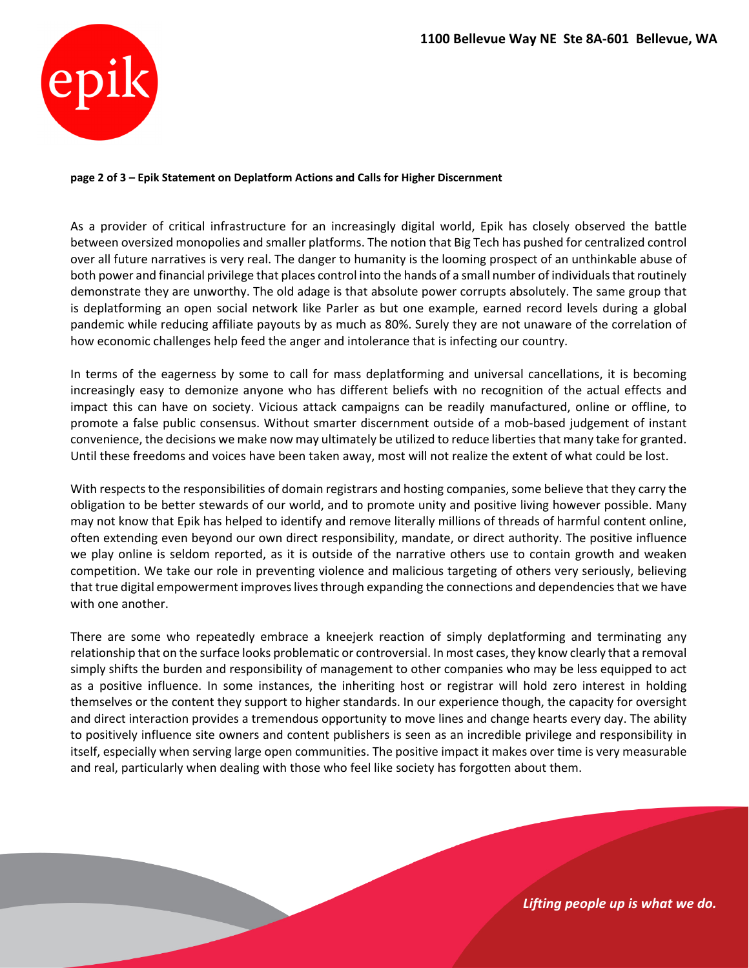

#### **page 2 of 3 – Epik Statement on Deplatform Actions and Calls for Higher Discernment**

As a provider of critical infrastructure for an increasingly digital world, Epik has closely observed the battle between oversized monopolies and smaller platforms. The notion that Big Tech has pushed for centralized control over all future narratives is very real. The danger to humanity is the looming prospect of an unthinkable abuse of both power and financial privilege that places control into the hands of a small number of individuals that routinely demonstrate they are unworthy. The old adage is that absolute power corrupts absolutely. The same group that is deplatforming an open social network like Parler as but one example, earned record levels during a global pandemic while reducing affiliate payouts by as much as 80%. Surely they are not unaware of the correlation of how economic challenges help feed the anger and intolerance that is infecting our country.

In terms of the eagerness by some to call for mass deplatforming and universal cancellations, it is becoming increasingly easy to demonize anyone who has different beliefs with no recognition of the actual effects and impact this can have on society. Vicious attack campaigns can be readily manufactured, online or offline, to promote a false public consensus. Without smarter discernment outside of a mob‐based judgement of instant convenience, the decisions we make now may ultimately be utilized to reduce libertiesthat many take for granted. Until these freedoms and voices have been taken away, most will not realize the extent of what could be lost.

With respects to the responsibilities of domain registrars and hosting companies, some believe that they carry the obligation to be better stewards of our world, and to promote unity and positive living however possible. Many may not know that Epik has helped to identify and remove literally millions of threads of harmful content online, often extending even beyond our own direct responsibility, mandate, or direct authority. The positive influence we play online is seldom reported, as it is outside of the narrative others use to contain growth and weaken competition. We take our role in preventing violence and malicious targeting of others very seriously, believing that true digital empowerment improves lives through expanding the connections and dependencies that we have with one another.

There are some who repeatedly embrace a kneejerk reaction of simply deplatforming and terminating any relationship that on the surface looks problematic or controversial. In most cases, they know clearly that a removal simply shifts the burden and responsibility of management to other companies who may be less equipped to act as a positive influence. In some instances, the inheriting host or registrar will hold zero interest in holding themselves or the content they support to higher standards. In our experience though, the capacity for oversight and direct interaction provides a tremendous opportunity to move lines and change hearts every day. The ability to positively influence site owners and content publishers is seen as an incredible privilege and responsibility in itself, especially when serving large open communities. The positive impact it makes over time is very measurable and real, particularly when dealing with those who feel like society has forgotten about them.

*Lifting people up is what we do.*